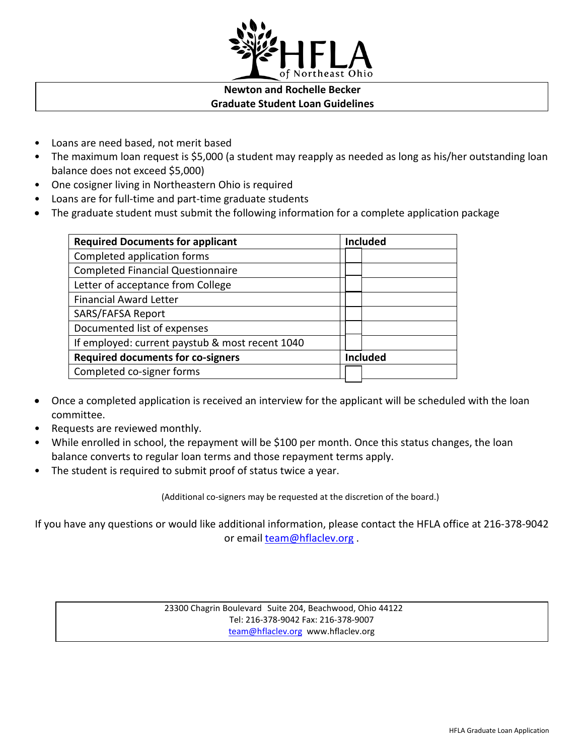

## **Newton and Rochelle Becker Graduate Student Loan Guidelines**

- Loans are need based, not merit based
- The maximum loan request is \$5,000 (a student may reapply as needed as long as his/her outstanding loan balance does not exceed \$5,000)
- One cosigner living in Northeastern Ohio is required
- Loans are for full-time and part-time graduate students
- The graduate student must submit the following information for a complete application package

| <b>Required Documents for applicant</b>         | <b>Included</b> |
|-------------------------------------------------|-----------------|
| Completed application forms                     |                 |
| <b>Completed Financial Questionnaire</b>        |                 |
| Letter of acceptance from College               |                 |
| <b>Financial Award Letter</b>                   |                 |
| SARS/FAFSA Report                               |                 |
| Documented list of expenses                     |                 |
| If employed: current paystub & most recent 1040 |                 |
| <b>Required documents for co-signers</b>        | <b>Included</b> |
| Completed co-signer forms                       |                 |
|                                                 |                 |

- Once a completed application is received an interview for the applicant will be scheduled with the loan committee.
- Requests are reviewed monthly.
- While enrolled in school, the repayment will be \$100 per month. Once this status changes, the loan balance converts to regular loan terms and those repayment terms apply.
- The student is required to submit proof of status twice a year.

(Additional co-signers may be requested at the discretion of the board.)

If you have any questions or would like additional information, please contact the HFLA office at 216-378-9042 or email [team@hflaclev.org](mailto:team@hflaclev.org).

> 23300 Chagrin Boulevard Suite 204, Beachwood, Ohio 44122 Tel: 216-378-9042 Fax: 216-378-9007 [team@hflaclev.org](mailto:team@hflaclev.org) www.hflaclev.org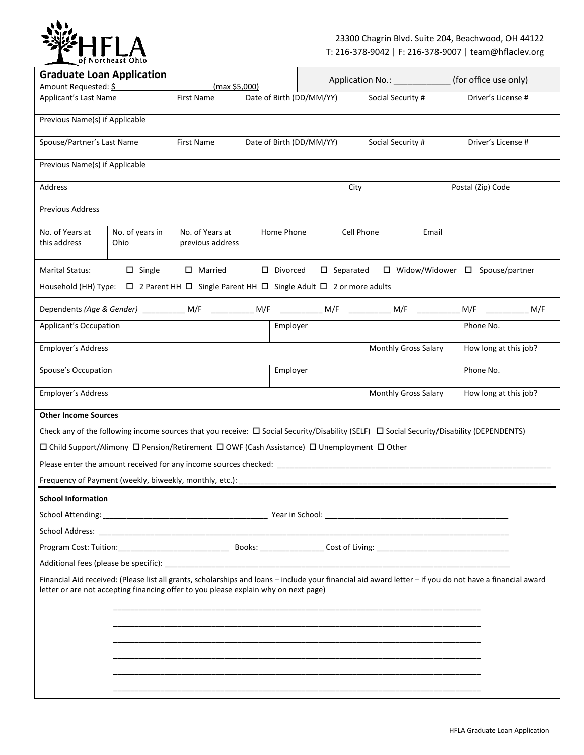

| <b>Graduate Loan Application</b>                                                                                                                                                                                                                |                         | Application No.: ____________                           |  |                    | (for office use only)    |                     |                      |       |                                            |     |
|-------------------------------------------------------------------------------------------------------------------------------------------------------------------------------------------------------------------------------------------------|-------------------------|---------------------------------------------------------|--|--------------------|--------------------------|---------------------|----------------------|-------|--------------------------------------------|-----|
| Amount Requested: \$<br>Applicant's Last Name                                                                                                                                                                                                   |                         | (max \$5,000)<br>Date of Birth (DD/MM/YY)<br>First Name |  | Social Security #  |                          |                     | Driver's License #   |       |                                            |     |
|                                                                                                                                                                                                                                                 |                         |                                                         |  |                    |                          |                     |                      |       |                                            |     |
| Previous Name(s) if Applicable                                                                                                                                                                                                                  |                         |                                                         |  |                    |                          |                     |                      |       |                                            |     |
| Spouse/Partner's Last Name                                                                                                                                                                                                                      |                         | First Name                                              |  |                    | Date of Birth (DD/MM/YY) |                     | Social Security #    |       | Driver's License #                         |     |
| Previous Name(s) if Applicable                                                                                                                                                                                                                  |                         |                                                         |  |                    |                          |                     |                      |       |                                            |     |
| Address                                                                                                                                                                                                                                         |                         |                                                         |  |                    |                          | City                |                      |       | Postal (Zip) Code                          |     |
| Previous Address                                                                                                                                                                                                                                |                         |                                                         |  |                    |                          |                     |                      |       |                                            |     |
| No. of Years at<br>this address                                                                                                                                                                                                                 | No. of years in<br>Ohio | No. of Years at<br>previous address                     |  | Home Phone         |                          | Cell Phone          |                      | Email |                                            |     |
| <b>Marital Status:</b>                                                                                                                                                                                                                          | $\square$ Single        | $\Box$ Married                                          |  | $\square$ Divorced |                          | $\square$ Separated |                      |       | $\Box$ Widow/Widower $\Box$ Spouse/partner |     |
| Household (HH) Type: $\Box$ 2 Parent HH $\Box$ Single Parent HH $\Box$ Single Adult $\Box$ 2 or more adults                                                                                                                                     |                         |                                                         |  |                    |                          |                     |                      |       |                                            |     |
|                                                                                                                                                                                                                                                 |                         |                                                         |  |                    |                          |                     |                      |       | M/F                                        | M/F |
| <b>Applicant's Occupation</b>                                                                                                                                                                                                                   |                         |                                                         |  | Employer           |                          |                     |                      |       | Phone No.                                  |     |
| Employer's Address                                                                                                                                                                                                                              |                         |                                                         |  |                    |                          |                     | Monthly Gross Salary |       | How long at this job?                      |     |
| Spouse's Occupation                                                                                                                                                                                                                             |                         |                                                         |  | Employer           |                          |                     |                      |       | Phone No.                                  |     |
| Employer's Address                                                                                                                                                                                                                              |                         |                                                         |  |                    |                          |                     | Monthly Gross Salary |       | How long at this job?                      |     |
| <b>Other Income Sources</b>                                                                                                                                                                                                                     |                         |                                                         |  |                    |                          |                     |                      |       |                                            |     |
| Check any of the following income sources that you receive: $\Box$ Social Security/Disability (SELF) $\Box$ Social Security/Disability (DEPENDENTS)                                                                                             |                         |                                                         |  |                    |                          |                     |                      |       |                                            |     |
| □ Child Support/Alimony □ Pension/Retirement □ OWF (Cash Assistance) □ Unemployment □ Other                                                                                                                                                     |                         |                                                         |  |                    |                          |                     |                      |       |                                            |     |
| Please enter the amount received for any income sources checked: _________                                                                                                                                                                      |                         |                                                         |  |                    |                          |                     |                      |       |                                            |     |
| Frequency of Payment (weekly, biweekly, monthly, etc.):                                                                                                                                                                                         |                         |                                                         |  |                    |                          |                     |                      |       |                                            |     |
| <b>School Information</b>                                                                                                                                                                                                                       |                         |                                                         |  |                    |                          |                     |                      |       |                                            |     |
|                                                                                                                                                                                                                                                 |                         |                                                         |  |                    |                          |                     |                      |       |                                            |     |
|                                                                                                                                                                                                                                                 |                         |                                                         |  |                    |                          |                     |                      |       |                                            |     |
|                                                                                                                                                                                                                                                 |                         |                                                         |  |                    |                          |                     |                      |       |                                            |     |
|                                                                                                                                                                                                                                                 |                         |                                                         |  |                    |                          |                     |                      |       |                                            |     |
| Financial Aid received: (Please list all grants, scholarships and loans – include your financial aid award letter – if you do not have a financial award<br>letter or are not accepting financing offer to you please explain why on next page) |                         |                                                         |  |                    |                          |                     |                      |       |                                            |     |
|                                                                                                                                                                                                                                                 |                         |                                                         |  |                    |                          |                     |                      |       |                                            |     |
|                                                                                                                                                                                                                                                 |                         |                                                         |  |                    |                          |                     |                      |       |                                            |     |
|                                                                                                                                                                                                                                                 |                         |                                                         |  |                    |                          |                     |                      |       |                                            |     |
|                                                                                                                                                                                                                                                 |                         |                                                         |  |                    |                          |                     |                      |       |                                            |     |
|                                                                                                                                                                                                                                                 |                         |                                                         |  |                    |                          |                     |                      |       |                                            |     |
|                                                                                                                                                                                                                                                 |                         |                                                         |  |                    |                          |                     |                      |       |                                            |     |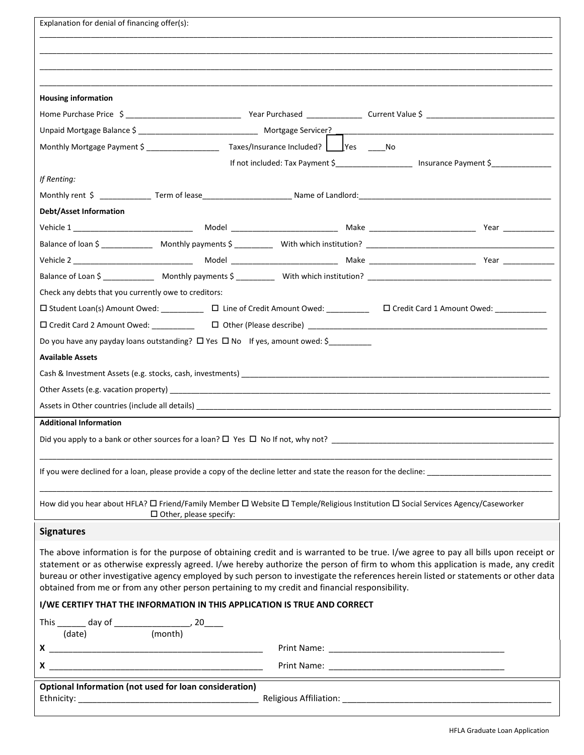| Explanation for denial of financing offer(s):                                                                                                                                                                                                                                                                                                                                                                                                                                                                         |  |  |  |  |
|-----------------------------------------------------------------------------------------------------------------------------------------------------------------------------------------------------------------------------------------------------------------------------------------------------------------------------------------------------------------------------------------------------------------------------------------------------------------------------------------------------------------------|--|--|--|--|
|                                                                                                                                                                                                                                                                                                                                                                                                                                                                                                                       |  |  |  |  |
|                                                                                                                                                                                                                                                                                                                                                                                                                                                                                                                       |  |  |  |  |
|                                                                                                                                                                                                                                                                                                                                                                                                                                                                                                                       |  |  |  |  |
| <b>Housing information</b>                                                                                                                                                                                                                                                                                                                                                                                                                                                                                            |  |  |  |  |
|                                                                                                                                                                                                                                                                                                                                                                                                                                                                                                                       |  |  |  |  |
|                                                                                                                                                                                                                                                                                                                                                                                                                                                                                                                       |  |  |  |  |
|                                                                                                                                                                                                                                                                                                                                                                                                                                                                                                                       |  |  |  |  |
| If not included: Tax Payment \$_____________________ Insurance Payment \$______________                                                                                                                                                                                                                                                                                                                                                                                                                               |  |  |  |  |
| If Renting:                                                                                                                                                                                                                                                                                                                                                                                                                                                                                                           |  |  |  |  |
|                                                                                                                                                                                                                                                                                                                                                                                                                                                                                                                       |  |  |  |  |
| <b>Debt/Asset Information</b>                                                                                                                                                                                                                                                                                                                                                                                                                                                                                         |  |  |  |  |
|                                                                                                                                                                                                                                                                                                                                                                                                                                                                                                                       |  |  |  |  |
|                                                                                                                                                                                                                                                                                                                                                                                                                                                                                                                       |  |  |  |  |
|                                                                                                                                                                                                                                                                                                                                                                                                                                                                                                                       |  |  |  |  |
|                                                                                                                                                                                                                                                                                                                                                                                                                                                                                                                       |  |  |  |  |
| Check any debts that you currently owe to creditors:                                                                                                                                                                                                                                                                                                                                                                                                                                                                  |  |  |  |  |
| □ Student Loan(s) Amount Owed: __________ □ Line of Credit Amount Owed: ________ □ Credit Card 1 Amount Owed: ________                                                                                                                                                                                                                                                                                                                                                                                                |  |  |  |  |
|                                                                                                                                                                                                                                                                                                                                                                                                                                                                                                                       |  |  |  |  |
| Do you have any payday loans outstanding? $\Box$ Yes $\Box$ No If yes, amount owed: \$                                                                                                                                                                                                                                                                                                                                                                                                                                |  |  |  |  |
| <b>Available Assets</b>                                                                                                                                                                                                                                                                                                                                                                                                                                                                                               |  |  |  |  |
|                                                                                                                                                                                                                                                                                                                                                                                                                                                                                                                       |  |  |  |  |
|                                                                                                                                                                                                                                                                                                                                                                                                                                                                                                                       |  |  |  |  |
|                                                                                                                                                                                                                                                                                                                                                                                                                                                                                                                       |  |  |  |  |
| <b>Additional Information</b>                                                                                                                                                                                                                                                                                                                                                                                                                                                                                         |  |  |  |  |
| Did you apply to a bank or other sources for a loan? $\Box$ Yes $\Box$ No If not, why not?                                                                                                                                                                                                                                                                                                                                                                                                                            |  |  |  |  |
|                                                                                                                                                                                                                                                                                                                                                                                                                                                                                                                       |  |  |  |  |
|                                                                                                                                                                                                                                                                                                                                                                                                                                                                                                                       |  |  |  |  |
|                                                                                                                                                                                                                                                                                                                                                                                                                                                                                                                       |  |  |  |  |
| How did you hear about HFLA? □ Friend/Family Member □ Website □ Temple/Religious Institution □ Social Services Agency/Caseworker<br>$\Box$ Other, please specify:                                                                                                                                                                                                                                                                                                                                                     |  |  |  |  |
| <b>Signatures</b>                                                                                                                                                                                                                                                                                                                                                                                                                                                                                                     |  |  |  |  |
| The above information is for the purpose of obtaining credit and is warranted to be true. I/we agree to pay all bills upon receipt or<br>statement or as otherwise expressly agreed. I/we hereby authorize the person of firm to whom this application is made, any credit<br>bureau or other investigative agency employed by such person to investigate the references herein listed or statements or other data<br>obtained from me or from any other person pertaining to my credit and financial responsibility. |  |  |  |  |
| I/WE CERTIFY THAT THE INFORMATION IN THIS APPLICATION IS TRUE AND CORRECT                                                                                                                                                                                                                                                                                                                                                                                                                                             |  |  |  |  |
| This $\frac{1}{(date)}$ day of $\frac{1}{(month)}$ , 20                                                                                                                                                                                                                                                                                                                                                                                                                                                               |  |  |  |  |
|                                                                                                                                                                                                                                                                                                                                                                                                                                                                                                                       |  |  |  |  |
| $x \overline{\phantom{a}}$                                                                                                                                                                                                                                                                                                                                                                                                                                                                                            |  |  |  |  |
|                                                                                                                                                                                                                                                                                                                                                                                                                                                                                                                       |  |  |  |  |
| Optional Information (not used for loan consideration)                                                                                                                                                                                                                                                                                                                                                                                                                                                                |  |  |  |  |
|                                                                                                                                                                                                                                                                                                                                                                                                                                                                                                                       |  |  |  |  |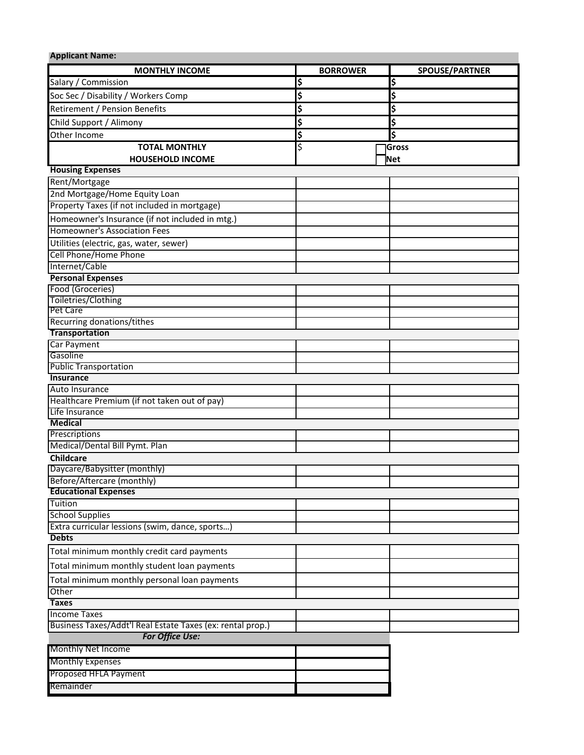| <b>Applicant Name:</b>                                                    |                 |                       |  |  |  |  |
|---------------------------------------------------------------------------|-----------------|-----------------------|--|--|--|--|
| <b>MONTHLY INCOME</b>                                                     | <b>BORROWER</b> | <b>SPOUSE/PARTNER</b> |  |  |  |  |
| Salary / Commission                                                       | \$              | \$                    |  |  |  |  |
| Soc Sec / Disability / Workers Comp                                       | \$              | \$                    |  |  |  |  |
| Retirement / Pension Benefits                                             | \$              | \$                    |  |  |  |  |
| Child Support / Alimony                                                   | \$              | \$                    |  |  |  |  |
| Other Income                                                              | \$              | \$                    |  |  |  |  |
| <b>TOTAL MONTHLY</b>                                                      | \$              | Gross                 |  |  |  |  |
| <b>HOUSEHOLD INCOME</b>                                                   |                 | Net                   |  |  |  |  |
| <b>Housing Expenses</b>                                                   |                 |                       |  |  |  |  |
| Rent/Mortgage                                                             |                 |                       |  |  |  |  |
| 2nd Mortgage/Home Equity Loan                                             |                 |                       |  |  |  |  |
| Property Taxes (if not included in mortgage)                              |                 |                       |  |  |  |  |
| Homeowner's Insurance (if not included in mtg.)                           |                 |                       |  |  |  |  |
| <b>Homeowner's Association Fees</b>                                       |                 |                       |  |  |  |  |
| Utilities (electric, gas, water, sewer)                                   |                 |                       |  |  |  |  |
| Cell Phone/Home Phone                                                     |                 |                       |  |  |  |  |
| Internet/Cable                                                            |                 |                       |  |  |  |  |
| <b>Personal Expenses</b>                                                  |                 |                       |  |  |  |  |
| Food (Groceries)                                                          |                 |                       |  |  |  |  |
| Toiletries/Clothing                                                       |                 |                       |  |  |  |  |
| Pet Care                                                                  |                 |                       |  |  |  |  |
| Recurring donations/tithes                                                |                 |                       |  |  |  |  |
| <b>Transportation</b>                                                     |                 |                       |  |  |  |  |
| <b>Car Payment</b><br>Gasoline                                            |                 |                       |  |  |  |  |
| <b>Public Transportation</b>                                              |                 |                       |  |  |  |  |
| <b>Insurance</b>                                                          |                 |                       |  |  |  |  |
| Auto Insurance                                                            |                 |                       |  |  |  |  |
| Healthcare Premium (if not taken out of pay)                              |                 |                       |  |  |  |  |
| Life Insurance                                                            |                 |                       |  |  |  |  |
| <b>Medical</b>                                                            |                 |                       |  |  |  |  |
| Prescriptions                                                             |                 |                       |  |  |  |  |
| Medical/Dental Bill Pymt. Plan                                            |                 |                       |  |  |  |  |
| Childcare                                                                 |                 |                       |  |  |  |  |
| Daycare/Babysitter (monthly)                                              |                 |                       |  |  |  |  |
| Before/Aftercare (monthly)                                                |                 |                       |  |  |  |  |
| <b>Educational Expenses</b>                                               |                 |                       |  |  |  |  |
| Tuition                                                                   |                 |                       |  |  |  |  |
| <b>School Supplies</b><br>Extra curricular lessions (swim, dance, sports) |                 |                       |  |  |  |  |
| <b>Debts</b>                                                              |                 |                       |  |  |  |  |
|                                                                           |                 |                       |  |  |  |  |
| Total minimum monthly credit card payments                                |                 |                       |  |  |  |  |
| Total minimum monthly student loan payments                               |                 |                       |  |  |  |  |
| Total minimum monthly personal loan payments                              |                 |                       |  |  |  |  |
| Other                                                                     |                 |                       |  |  |  |  |
| <b>Taxes</b>                                                              |                 |                       |  |  |  |  |
| <b>Income Taxes</b>                                                       |                 |                       |  |  |  |  |
| Business Taxes/Addt'l Real Estate Taxes (ex: rental prop.)                |                 |                       |  |  |  |  |
| For Office Use:                                                           |                 |                       |  |  |  |  |
| Monthly Net Income                                                        |                 |                       |  |  |  |  |
| <b>Monthly Expenses</b>                                                   |                 |                       |  |  |  |  |
| Proposed HFLA Payment                                                     |                 |                       |  |  |  |  |
| Remainder                                                                 |                 |                       |  |  |  |  |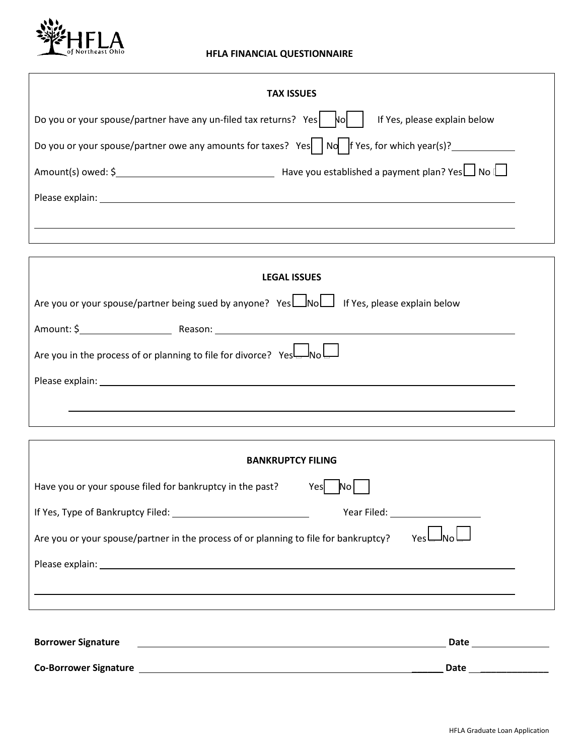

## **HFLA FINANCIAL QUESTIONNAIRE**

| <b>TAX ISSUES</b>                                                                                                                                                                                                              |                              |  |  |  |
|--------------------------------------------------------------------------------------------------------------------------------------------------------------------------------------------------------------------------------|------------------------------|--|--|--|
| Do you or your spouse/partner have any un-filed tax returns? Yes $\begin{vmatrix} 1 & 0 \\ 0 & 1 \end{vmatrix}$                                                                                                                | If Yes, please explain below |  |  |  |
| Do you or your spouse/partner owe any amounts for taxes? Yes     No     f Yes, for which year(s)?                                                                                                                              |                              |  |  |  |
| Amount(s) owed: $\oint$ Mo $\Box$ Mo $\Box$ Have you established a payment plan? Yes $\Box$ No $\Box$                                                                                                                          |                              |  |  |  |
| Please explain: The contract of the contract of the contract of the contract of the contract of the contract of the contract of the contract of the contract of the contract of the contract of the contract of the contract o |                              |  |  |  |
|                                                                                                                                                                                                                                |                              |  |  |  |
|                                                                                                                                                                                                                                |                              |  |  |  |

| <b>LEGAL ISSUES</b>                                                                                                                                                                                                             |  |  |  |  |
|---------------------------------------------------------------------------------------------------------------------------------------------------------------------------------------------------------------------------------|--|--|--|--|
| Are you or your spouse/partner being sued by anyone? Yes Mould If Yes, please explain below                                                                                                                                     |  |  |  |  |
| Amount: \$ Reason: Reason: Reason: Reason: Reason: Reason: Reason: Reason: Reason: Reason: Reason: Reason: Reason: Reason: Reason: Reason: Reason: Reason: Reason: Reason: Reason: Reason: Reason: Reason: Reason: Reason: Reas |  |  |  |  |
| Are you in the process of or planning to file for divorce? $YesL_{\text{N0}}L$                                                                                                                                                  |  |  |  |  |
| Please explain: The contract of the contract of the contract of the contract of the contract of the contract of the contract of the contract of the contract of the contract of the contract of the contract of the contract o  |  |  |  |  |
|                                                                                                                                                                                                                                 |  |  |  |  |

| <b>BANKRUPTCY FILING</b>                                                                                                                                                                                                       |                                                                                                                                                                                                                                |  |  |  |
|--------------------------------------------------------------------------------------------------------------------------------------------------------------------------------------------------------------------------------|--------------------------------------------------------------------------------------------------------------------------------------------------------------------------------------------------------------------------------|--|--|--|
| Have you or your spouse filed for bankruptcy in the past?<br>Yesl                                                                                                                                                              |                                                                                                                                                                                                                                |  |  |  |
|                                                                                                                                                                                                                                | Year Filed: The Contract of the Contract of the Contract of the Contract of the Contract of the Contract of the Contract of the Contract of the Contract of the Contract of the Contract of the Contract of the Contract of th |  |  |  |
| Are you or your spouse/partner in the process of or planning to file for bankruptcy?                                                                                                                                           | Υρς                                                                                                                                                                                                                            |  |  |  |
| Please explain: The contract of the contract of the contract of the contract of the contract of the contract of the contract of the contract of the contract of the contract of the contract of the contract of the contract o |                                                                                                                                                                                                                                |  |  |  |
|                                                                                                                                                                                                                                |                                                                                                                                                                                                                                |  |  |  |
|                                                                                                                                                                                                                                |                                                                                                                                                                                                                                |  |  |  |

| <b>Borrower Signature</b>    | Date |  |
|------------------------------|------|--|
| <b>Co-Borrower Signature</b> | Date |  |